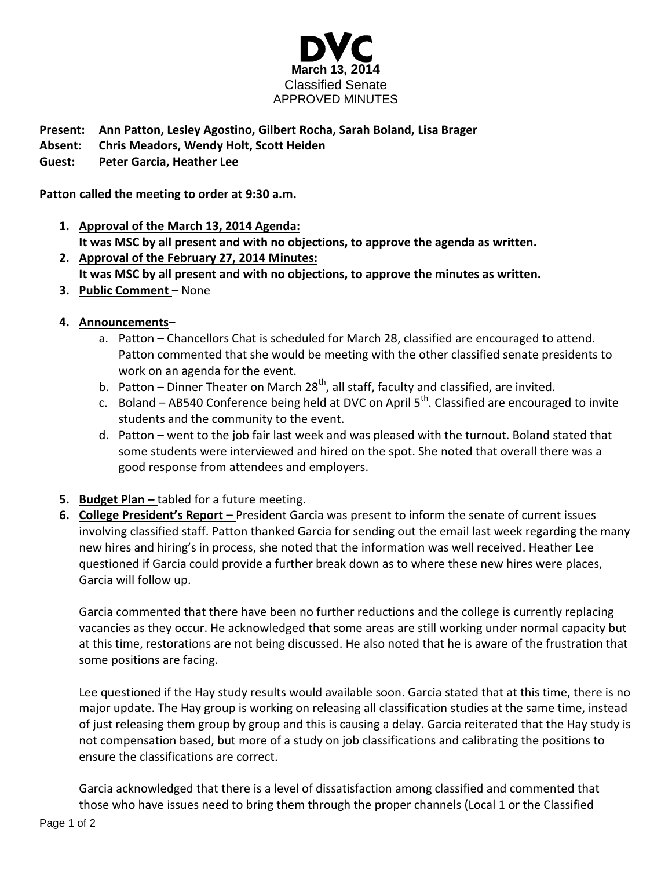

## **Present: Ann Patton, Lesley Agostino, Gilbert Rocha, Sarah Boland, Lisa Brager**

- **Absent: Chris Meadors, Wendy Holt, Scott Heiden**
- **Guest: Peter Garcia, Heather Lee**

**Patton called the meeting to order at 9:30 a.m.**

- **1. Approval of the March 13, 2014 Agenda: It was MSC by all present and with no objections, to approve the agenda as written.**
- **2. Approval of the February 27, 2014 Minutes: It was MSC by all present and with no objections, to approve the minutes as written.**
- **3. Public Comment** None
- **4. Announcements**
	- a. Patton Chancellors Chat is scheduled for March 28, classified are encouraged to attend. Patton commented that she would be meeting with the other classified senate presidents to work on an agenda for the event.
	- b. Patton Dinner Theater on March 28<sup>th</sup>, all staff, faculty and classified, are invited.
	- c. Boland AB540 Conference being held at DVC on April  $5<sup>th</sup>$ . Classified are encouraged to invite students and the community to the event.
	- d. Patton went to the job fair last week and was pleased with the turnout. Boland stated that some students were interviewed and hired on the spot. She noted that overall there was a good response from attendees and employers.
- **5. Budget Plan** tabled for a future meeting.
- **6. College President's Report –** President Garcia was present to inform the senate of current issues involving classified staff. Patton thanked Garcia for sending out the email last week regarding the many new hires and hiring's in process, she noted that the information was well received. Heather Lee questioned if Garcia could provide a further break down as to where these new hires were places, Garcia will follow up.

Garcia commented that there have been no further reductions and the college is currently replacing vacancies as they occur. He acknowledged that some areas are still working under normal capacity but at this time, restorations are not being discussed. He also noted that he is aware of the frustration that some positions are facing.

Lee questioned if the Hay study results would available soon. Garcia stated that at this time, there is no major update. The Hay group is working on releasing all classification studies at the same time, instead of just releasing them group by group and this is causing a delay. Garcia reiterated that the Hay study is not compensation based, but more of a study on job classifications and calibrating the positions to ensure the classifications are correct.

Garcia acknowledged that there is a level of dissatisfaction among classified and commented that those who have issues need to bring them through the proper channels (Local 1 or the Classified